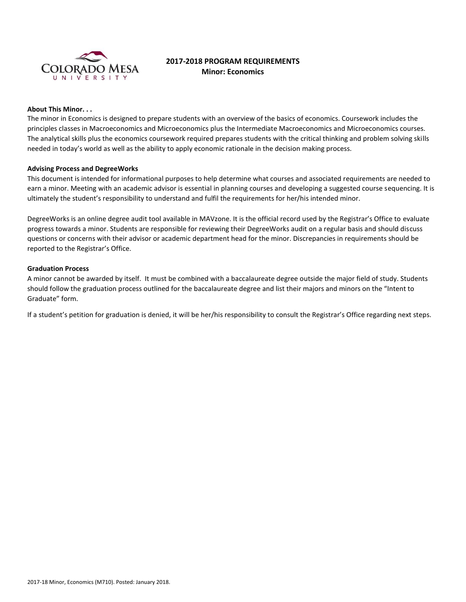

# **2017-2018 PROGRAM REQUIREMENTS Minor: Economics**

## **About This Minor. . .**

The minor in Economics is designed to prepare students with an overview of the basics of economics. Coursework includes the principles classes in Macroeconomics and Microeconomics plus the Intermediate Macroeconomics and Microeconomics courses. The analytical skills plus the economics coursework required prepares students with the critical thinking and problem solving skills needed in today's world as well as the ability to apply economic rationale in the decision making process.

#### **Advising Process and DegreeWorks**

This document is intended for informational purposes to help determine what courses and associated requirements are needed to earn a minor. Meeting with an academic advisor is essential in planning courses and developing a suggested course sequencing. It is ultimately the student's responsibility to understand and fulfil the requirements for her/his intended minor.

DegreeWorks is an online degree audit tool available in MAVzone. It is the official record used by the Registrar's Office to evaluate progress towards a minor. Students are responsible for reviewing their DegreeWorks audit on a regular basis and should discuss questions or concerns with their advisor or academic department head for the minor. Discrepancies in requirements should be reported to the Registrar's Office.

#### **Graduation Process**

A minor cannot be awarded by itself. It must be combined with a baccalaureate degree outside the major field of study. Students should follow the graduation process outlined for the baccalaureate degree and list their majors and minors on the "Intent to Graduate" form.

If a student's petition for graduation is denied, it will be her/his responsibility to consult the Registrar's Office regarding next steps.